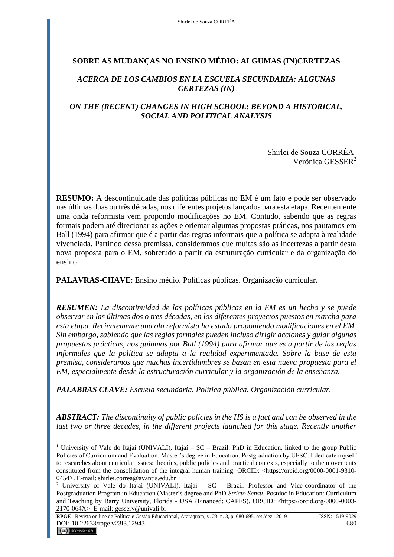# **SOBRE AS MUDANÇAS NO ENSINO MÉDIO: ALGUMAS (IN)CERTEZAS**

# *ACERCA DE LOS CAMBIOS EN LA ESCUELA SECUNDARIA: ALGUNAS CERTEZAS (IN)*

# *ON THE (RECENT) CHANGES IN HIGH SCHOOL: BEYOND A HISTORICAL, SOCIAL AND POLITICAL ANALYSIS*

Shirlei de Souza CORRÊA<sup>1</sup> Verônica GESSER<sup>2</sup>

**RESUMO:** A descontinuidade das políticas públicas no EM é um fato e pode ser observado nas últimas duas ou três décadas, nos diferentes projetos lançados para esta etapa. Recentemente uma onda reformista vem propondo modificações no EM. Contudo, sabendo que as regras formais podem até direcionar as ações e orientar algumas propostas práticas, nos pautamos em Ball (1994) para afirmar que é a partir das regras informais que a política se adapta à realidade vivenciada. Partindo dessa premissa, consideramos que muitas são as incertezas a partir desta nova proposta para o EM, sobretudo a partir da estruturação curricular e da organização do ensino.

**PALAVRAS-CHAVE**: Ensino médio. Políticas públicas. Organização curricular.

*RESUMEN: La discontinuidad de las políticas públicas en la EM es un hecho y se puede observar en las últimas dos o tres décadas, en los diferentes proyectos puestos en marcha para esta etapa. Recientemente una ola reformista ha estado proponiendo modificaciones en el EM. Sin embargo, sabiendo que las reglas formales pueden incluso dirigir acciones y guiar algunas propuestas prácticas, nos guiamos por Ball (1994) para afirmar que es a partir de las reglas informales que la política se adapta a la realidad experimentada. Sobre la base de esta premisa, consideramos que muchas incertidumbres se basan en esta nueva propuesta para el EM, especialmente desde la estructuración curricular y la organización de la enseñanza.*

*PALABRAS CLAVE: Escuela secundaria. Política pública. Organización curricular.*

*ABSTRACT: The discontinuity of public policies in the HS is a fact and can be observed in the*  last two or three decades, in the different projects launched for this stage. Recently another

<sup>&</sup>lt;sup>1</sup> University of Vale do Itajaí (UNIVALI), Itajaí – SC – Brazil. PhD in Education, linked to the group Public Policies of Curriculum and Evaluation. Master's degree in Education. Postgraduation by UFSC. I dedicate myself to researches about curricular issues: theories, public policies and practical contexts, especially to the movements constituted from the consolidation of the integral human training. ORCID: <https://orcid.org/0000-0001-9310-0454>. E-mail: shirlei.correa@avantis.edu.br

<sup>2</sup> University of Vale do Itajaí (UNIVALI), Itajaí – SC – Brazil. Professor and Vice-coordinator of the Postgraduation Program in Education (Master's degree and PhD *Stricto Sensu*. Postdoc in Education: Curriculum and Teaching by Barry University, Florida - USA (Financed: CAPES). ORCID: <https://orcid.org/0000-0003- 2170-064X>. E-mail: gesserv@univali.br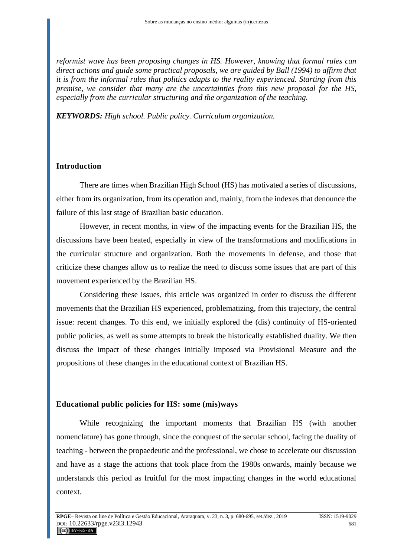*reformist wave has been proposing changes in HS. However, knowing that formal rules can direct actions and guide some practical proposals, we are guided by Ball (1994) to affirm that it is from the informal rules that politics adapts to the reality experienced. Starting from this premise, we consider that many are the uncertainties from this new proposal for the HS, especially from the curricular structuring and the organization of the teaching.*

*KEYWORDS: High school. Public policy. Curriculum organization.*

## **Introduction**

There are times when Brazilian High School (HS) has motivated a series of discussions, either from its organization, from its operation and, mainly, from the indexes that denounce the failure of this last stage of Brazilian basic education.

However, in recent months, in view of the impacting events for the Brazilian HS, the discussions have been heated, especially in view of the transformations and modifications in the curricular structure and organization. Both the movements in defense, and those that criticize these changes allow us to realize the need to discuss some issues that are part of this movement experienced by the Brazilian HS.

Considering these issues, this article was organized in order to discuss the different movements that the Brazilian HS experienced, problematizing, from this trajectory, the central issue: recent changes. To this end, we initially explored the (dis) continuity of HS-oriented public policies, as well as some attempts to break the historically established duality. We then discuss the impact of these changes initially imposed via Provisional Measure and the propositions of these changes in the educational context of Brazilian HS.

## **Educational public policies for HS: some (mis)ways**

While recognizing the important moments that Brazilian HS (with another nomenclature) has gone through, since the conquest of the secular school, facing the duality of teaching - between the propaedeutic and the professional, we chose to accelerate our discussion and have as a stage the actions that took place from the 1980s onwards, mainly because we understands this period as fruitful for the most impacting changes in the world educational context.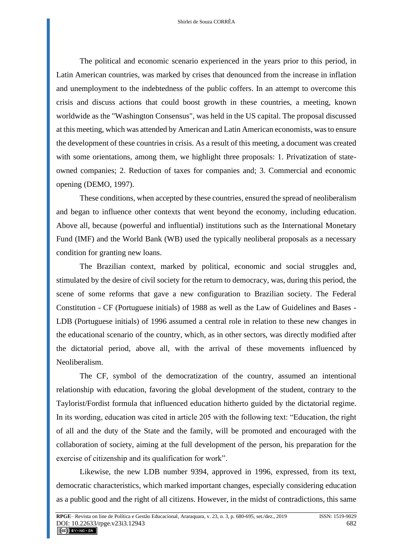The political and economic scenario experienced in the years prior to this period, in Latin American countries, was marked by crises that denounced from the increase in inflation and unemployment to the indebtedness of the public coffers. In an attempt to overcome this crisis and discuss actions that could boost growth in these countries, a meeting, known worldwide as the "Washington Consensus", was held in the US capital. The proposal discussed at this meeting, which was attended by American and Latin American economists, was to ensure the development of these countries in crisis. As a result of this meeting, a document was created with some orientations, among them, we highlight three proposals: 1. Privatization of stateowned companies; 2. Reduction of taxes for companies and; 3. Commercial and economic opening (DEMO, 1997).

These conditions, when accepted by these countries, ensured the spread of neoliberalism and began to influence other contexts that went beyond the economy, including education. Above all, because (powerful and influential) institutions such as the International Monetary Fund (IMF) and the World Bank (WB) used the typically neoliberal proposals as a necessary condition for granting new loans.

The Brazilian context, marked by political, economic and social struggles and, stimulated by the desire of civil society for the return to democracy, was, during this period, the scene of some reforms that gave a new configuration to Brazilian society. The Federal Constitution - CF (Portuguese initials) of 1988 as well as the Law of Guidelines and Bases - LDB (Portuguese initials) of 1996 assumed a central role in relation to these new changes in the educational scenario of the country, which, as in other sectors, was directly modified after the dictatorial period, above all, with the arrival of these movements influenced by Neoliberalism.

The CF, symbol of the democratization of the country, assumed an intentional relationship with education, favoring the global development of the student, contrary to the Taylorist/Fordist formula that influenced education hitherto guided by the dictatorial regime. In its wording, education was cited in article 205 with the following text: "Education, the right of all and the duty of the State and the family, will be promoted and encouraged with the collaboration of society, aiming at the full development of the person, his preparation for the exercise of citizenship and its qualification for work".

Likewise, the new LDB number 9394, approved in 1996, expressed, from its text, democratic characteristics, which marked important changes, especially considering education as a public good and the right of all citizens. However, in the midst of contradictions, this same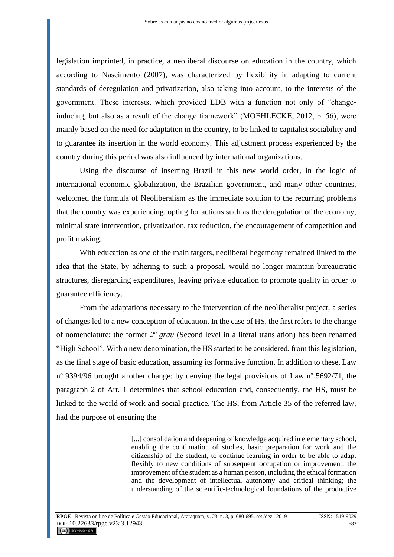legislation imprinted, in practice, a neoliberal discourse on education in the country, which according to Nascimento (2007), was characterized by flexibility in adapting to current standards of deregulation and privatization, also taking into account, to the interests of the government. These interests, which provided LDB with a function not only of "changeinducing, but also as a result of the change framework" (MOEHLECKE, 2012, p. 56), were mainly based on the need for adaptation in the country, to be linked to capitalist sociability and to guarantee its insertion in the world economy. This adjustment process experienced by the country during this period was also influenced by international organizations.

Using the discourse of inserting Brazil in this new world order, in the logic of international economic globalization, the Brazilian government, and many other countries, welcomed the formula of Neoliberalism as the immediate solution to the recurring problems that the country was experiencing, opting for actions such as the deregulation of the economy, minimal state intervention, privatization, tax reduction, the encouragement of competition and profit making.

With education as one of the main targets, neoliberal hegemony remained linked to the idea that the State, by adhering to such a proposal, would no longer maintain bureaucratic structures, disregarding expenditures, leaving private education to promote quality in order to guarantee efficiency.

From the adaptations necessary to the intervention of the neoliberalist project, a series of changes led to a new conception of education. In the case of HS, the first refers to the change of nomenclature: the former *2º grau* (Second level in a literal translation) has been renamed "High School". With a new denomination, the HS started to be considered, from this legislation, as the final stage of basic education, assuming its formative function. In addition to these, Law nº 9394/96 brought another change: by denying the legal provisions of Law nº 5692/71, the paragraph 2 of Art. 1 determines that school education and, consequently, the HS, must be linked to the world of work and social practice. The HS, from Article 35 of the referred law, had the purpose of ensuring the

> [...] consolidation and deepening of knowledge acquired in elementary school, enabling the continuation of studies, basic preparation for work and the citizenship of the student, to continue learning in order to be able to adapt flexibly to new conditions of subsequent occupation or improvement; the improvement of the student as a human person, including the ethical formation and the development of intellectual autonomy and critical thinking; the understanding of the scientific-technological foundations of the productive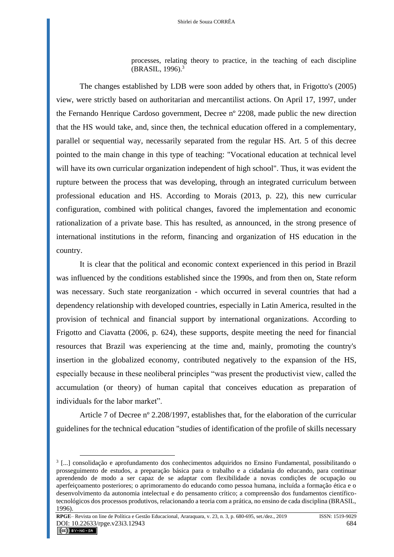processes, relating theory to practice, in the teaching of each discipline (BRASIL, 1996).<sup>3</sup>

The changes established by LDB were soon added by others that, in Frigotto's (2005) view, were strictly based on authoritarian and mercantilist actions. On April 17, 1997, under the Fernando Henrique Cardoso government, Decree nº 2208, made public the new direction that the HS would take, and, since then, the technical education offered in a complementary, parallel or sequential way, necessarily separated from the regular HS. Art. 5 of this decree pointed to the main change in this type of teaching: "Vocational education at technical level will have its own curricular organization independent of high school". Thus, it was evident the rupture between the process that was developing, through an integrated curriculum between professional education and HS. According to Morais (2013, p. 22), this new curricular configuration, combined with political changes, favored the implementation and economic rationalization of a private base. This has resulted, as announced, in the strong presence of international institutions in the reform, financing and organization of HS education in the country.

It is clear that the political and economic context experienced in this period in Brazil was influenced by the conditions established since the 1990s, and from then on, State reform was necessary. Such state reorganization - which occurred in several countries that had a dependency relationship with developed countries, especially in Latin America, resulted in the provision of technical and financial support by international organizations. According to Frigotto and Ciavatta (2006, p. 624), these supports, despite meeting the need for financial resources that Brazil was experiencing at the time and, mainly, promoting the country's insertion in the globalized economy, contributed negatively to the expansion of the HS, especially because in these neoliberal principles "was present the productivist view, called the accumulation (or theory) of human capital that conceives education as preparation of individuals for the labor market".

Article 7 of Decree nº 2.208/1997, establishes that, for the elaboration of the curricular guidelines for the technical education "studies of identification of the profile of skills necessary

**RPGE**– Revista on line de Política e Gestão Educacional, Araraquara, v. 23, n. 3, p. 680-695, set./dez., 2019 ISSN: 1519-9029 DOI: 10.22633/rpge.v23i3.12943 684

<sup>3</sup> [...] consolidação e aprofundamento dos conhecimentos adquiridos no Ensino Fundamental, possibilitando o prosseguimento de estudos, a preparação básica para o trabalho e a cidadania do educando, para continuar aprendendo de modo a ser capaz de se adaptar com flexibilidade a novas condições de ocupação ou aperfeiçoamento posteriores; o aprimoramento do educando como pessoa humana, incluída a formação ética e o desenvolvimento da autonomia intelectual e do pensamento crítico; a compreensão dos fundamentos científicotecnológicos dos processos produtivos, relacionando a teoria com a prática, no ensino de cada disciplina (BRASIL, 1996).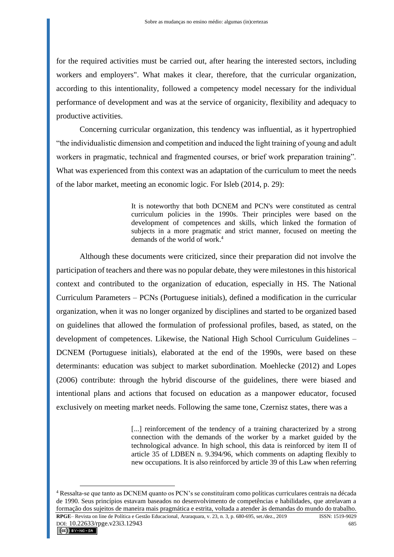for the required activities must be carried out, after hearing the interested sectors, including workers and employers". What makes it clear, therefore, that the curricular organization, according to this intentionality, followed a competency model necessary for the individual performance of development and was at the service of organicity, flexibility and adequacy to productive activities.

Concerning curricular organization, this tendency was influential, as it hypertrophied "the individualistic dimension and competition and induced the light training of young and adult workers in pragmatic, technical and fragmented courses, or brief work preparation training". What was experienced from this context was an adaptation of the curriculum to meet the needs of the labor market, meeting an economic logic. For Isleb (2014, p. 29):

> It is noteworthy that both DCNEM and PCN's were constituted as central curriculum policies in the 1990s. Their principles were based on the development of competences and skills, which linked the formation of subjects in a more pragmatic and strict manner, focused on meeting the demands of the world of work.<sup>4</sup>

Although these documents were criticized, since their preparation did not involve the participation of teachers and there was no popular debate, they were milestones in this historical context and contributed to the organization of education, especially in HS. The National Curriculum Parameters – PCNs (Portuguese initials), defined a modification in the curricular organization, when it was no longer organized by disciplines and started to be organized based on guidelines that allowed the formulation of professional profiles, based, as stated, on the development of competences. Likewise, the National High School Curriculum Guidelines – DCNEM (Portuguese initials), elaborated at the end of the 1990s, were based on these determinants: education was subject to market subordination. Moehlecke (2012) and Lopes (2006) contribute: through the hybrid discourse of the guidelines, there were biased and intentional plans and actions that focused on education as a manpower educator, focused exclusively on meeting market needs. Following the same tone, Czernisz states, there was a

> [...] reinforcement of the tendency of a training characterized by a strong connection with the demands of the worker by a market guided by the technological advance. In high school, this data is reinforced by item II of article 35 of LDBEN n. 9.394/96, which comments on adapting flexibly to new occupations. It is also reinforced by article 39 of this Law when referring

**RPGE**– Revista on line de Política e Gestão Educacional, Araraquara, v. 23, n. 3, p. 680-695, set./dez., 2019 ISSN: 1519-9029 DOI: 10.22633/rpge.v23i3.12943 685<br> **CCC**) EY-NO-SA <sup>4</sup> Ressalta-se que tanto as DCNEM quanto os PCN's se constituíram como políticas curriculares centrais na década de 1990. Seus princípios estavam baseados no desenvolvimento de competências e habilidades, que atrelavam a formação dos sujeitos de maneira mais pragmática e estrita, voltada a atender às demandas do mundo do trabalho.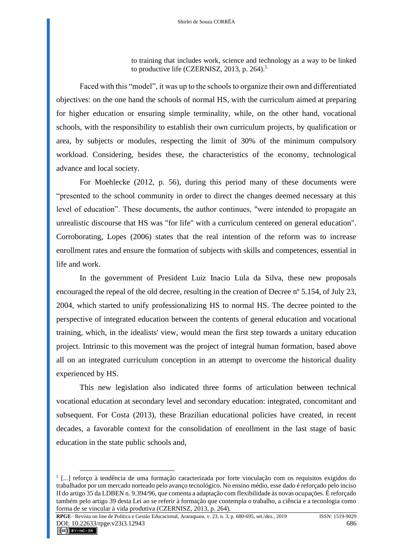to training that includes work, science and technology as a way to be linked to productive life (CZERNISZ, 2013, p. 264).<sup>5</sup>

Faced with this "model", it was up to the schools to organize their own and differentiated objectives: on the one hand the schools of normal HS, with the curriculum aimed at preparing for higher education or ensuring simple terminality, while, on the other hand, vocational schools, with the responsibility to establish their own curriculum projects, by qualification or area, by subjects or modules, respecting the limit of 30% of the minimum compulsory workload. Considering, besides these, the characteristics of the economy, technological advance and local society.

For Moehlecke (2012, p. 56), during this period many of these documents were "presented to the school community in order to direct the changes deemed necessary at this level of education". These documents, the author continues, "were intended to propagate an unrealistic discourse that HS was "for life" with a curriculum centered on general education". Corroborating, Lopes (2006) states that the real intention of the reform was to increase enrollment rates and ensure the formation of subjects with skills and competences, essential in life and work.

In the government of President Luiz Inacio Lula da Silva, these new proposals encouraged the repeal of the old decree, resulting in the creation of Decree nº 5.154, of July 23, 2004, which started to unify professionalizing HS to normal HS. The decree pointed to the perspective of integrated education between the contents of general education and vocational training, which, in the idealists' view, would mean the first step towards a unitary education project. Intrinsic to this movement was the project of integral human formation, based above all on an integrated curriculum conception in an attempt to overcome the historical duality experienced by HS.

This new legislation also indicated three forms of articulation between technical vocational education at secondary level and secondary education: integrated, concomitant and subsequent. For Costa (2013), these Brazilian educational policies have created, in recent decades, a favorable context for the consolidation of enrollment in the last stage of basic education in the state public schools and,

**RPGE**– Revista on line de Política e Gestão Educacional, Araraquara, v. 23, n. 3, p. 680-695, set./dez., 2019 ISSN: 1519-9029 DOI: 10.22633/rpge.v23i3.12943 686<br> **CC**) EY-NO-SA

<sup>5</sup> [...] reforço à tendência de uma formação caracterizada por forte vinculação com os requisitos exigidos do trabalhador por um mercado norteado pelo avanço tecnológico. No ensino médio, esse dado é reforçado pelo inciso II do artigo 35 da LDBEN n. 9.394/96, que comenta a adaptação com flexibilidade às novas ocupações. É reforçado também pelo artigo 39 desta Lei ao se referir à formação que contempla o trabalho, a ciência e a tecnologia como forma de se vincular à vida produtiva (CZERNISZ, 2013, p. 264).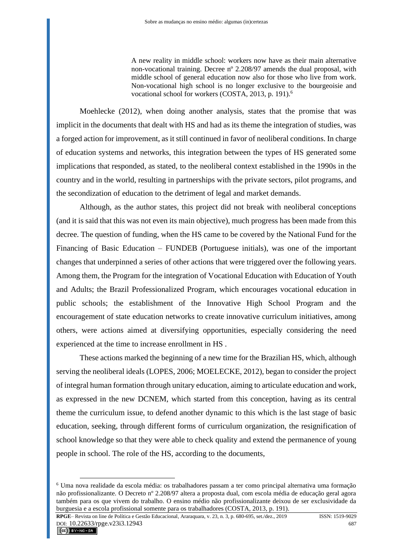A new reality in middle school: workers now have as their main alternative non-vocational training. Decree nº 2.208/97 amends the dual proposal, with middle school of general education now also for those who live from work. Non-vocational high school is no longer exclusive to the bourgeoisie and vocational school for workers (COSTA, 2013, p. 191).<sup>6</sup>

Moehlecke (2012), when doing another analysis, states that the promise that was implicit in the documents that dealt with HS and had as its theme the integration of studies, was a forged action for improvement, as it still continued in favor of neoliberal conditions. In charge of education systems and networks, this integration between the types of HS generated some implications that responded, as stated, to the neoliberal context established in the 1990s in the country and in the world, resulting in partnerships with the private sectors, pilot programs, and the secondization of education to the detriment of legal and market demands.

Although, as the author states, this project did not break with neoliberal conceptions (and it is said that this was not even its main objective), much progress has been made from this decree. The question of funding, when the HS came to be covered by the National Fund for the Financing of Basic Education – FUNDEB (Portuguese initials), was one of the important changes that underpinned a series of other actions that were triggered over the following years. Among them, the Program for the integration of Vocational Education with Education of Youth and Adults; the Brazil Professionalized Program, which encourages vocational education in public schools; the establishment of the Innovative High School Program and the encouragement of state education networks to create innovative curriculum initiatives, among others, were actions aimed at diversifying opportunities, especially considering the need experienced at the time to increase enrollment in HS .

These actions marked the beginning of a new time for the Brazilian HS, which, although serving the neoliberal ideals (LOPES, 2006; MOELECKE, 2012), began to consider the project of integral human formation through unitary education, aiming to articulate education and work, as expressed in the new DCNEM, which started from this conception, having as its central theme the curriculum issue, to defend another dynamic to this which is the last stage of basic education, seeking, through different forms of curriculum organization, the resignification of school knowledge so that they were able to check quality and extend the permanence of young people in school. The role of the HS, according to the documents,

<sup>6</sup> Uma nova realidade da escola média: os trabalhadores passam a ter como principal alternativa uma formação não profissionalizante. O Decreto nº 2.208/97 altera a proposta dual, com escola média de educação geral agora também para os que vivem do trabalho. O ensino médio não profissionalizante deixou de ser exclusividade da burguesia e a escola profissional somente para os trabalhadores (COSTA, 2013, p. 191).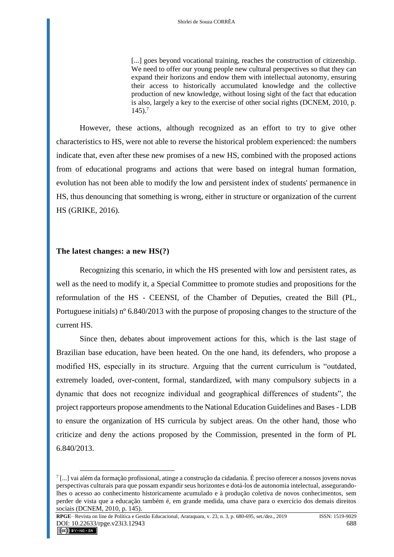[...] goes beyond vocational training, reaches the construction of citizenship. We need to offer our young people new cultural perspectives so that they can expand their horizons and endow them with intellectual autonomy, ensuring their access to historically accumulated knowledge and the collective production of new knowledge, without losing sight of the fact that education is also, largely a key to the exercise of other social rights (DCNEM, 2010, p.  $145$ ).<sup>7</sup>

However, these actions, although recognized as an effort to try to give other characteristics to HS, were not able to reverse the historical problem experienced: the numbers indicate that, even after these new promises of a new HS, combined with the proposed actions from of educational programs and actions that were based on integral human formation, evolution has not been able to modify the low and persistent index of students' permanence in HS, thus denouncing that something is wrong, either in structure or organization of the current HS (GRIKE, 2016).

#### **The latest changes: a new HS(?)**

Recognizing this scenario, in which the HS presented with low and persistent rates, as well as the need to modify it, a Special Committee to promote studies and propositions for the reformulation of the HS - CEENSI, of the Chamber of Deputies, created the Bill (PL, Portuguese initials) nº 6.840/2013 with the purpose of proposing changes to the structure of the current HS.

Since then, debates about improvement actions for this, which is the last stage of Brazilian base education, have been heated. On the one hand, its defenders, who propose a modified HS, especially in its structure. Arguing that the current curriculum is "outdated, extremely loaded, over-content, formal, standardized, with many compulsory subjects in a dynamic that does not recognize individual and geographical differences of students", the project rapporteurs propose amendments to the National Education Guidelines and Bases - LDB to ensure the organization of HS curricula by subject areas. On the other hand, those who criticize and deny the actions proposed by the Commission, presented in the form of PL 6.840/2013.

**RPGE**– Revista on line de Política e Gestão Educacional, Araraquara, v. 23, n. 3, p. 680-695, set./dez., 2019 ISSN: 1519-9029 DOI: 10.22633/rpge.v23i3.12943 688

<sup>&</sup>lt;sup>7</sup>[...] vai além da formação profissional, atinge a construção da cidadania. É preciso oferecer a nossos jovens novas perspectivas culturais para que possam expandir seus horizontes e dotá-los de autonomia intelectual, assegurandolhes o acesso ao conhecimento historicamente acumulado e à produção coletiva de novos conhecimentos, sem perder de vista que a educação também é, em grande medida, uma chave para o exercício dos demais direitos sociais (DCNEM, 2010, p. 145).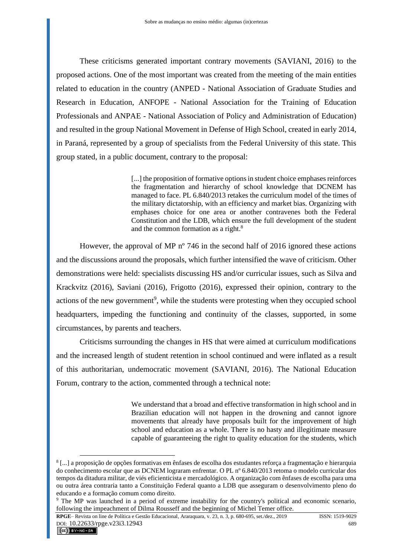These criticisms generated important contrary movements (SAVIANI, 2016) to the proposed actions. One of the most important was created from the meeting of the main entities related to education in the country (ANPED - National Association of Graduate Studies and Research in Education, ANFOPE - National Association for the Training of Education Professionals and ANPAE - National Association of Policy and Administration of Education) and resulted in the group National Movement in Defense of High School, created in early 2014, in Paraná, represented by a group of specialists from the Federal University of this state. This group stated, in a public document, contrary to the proposal:

> [...] the proposition of formative options in student choice emphases reinforces the fragmentation and hierarchy of school knowledge that DCNEM has managed to face. PL 6.840/2013 retakes the curriculum model of the times of the military dictatorship, with an efficiency and market bias. Organizing with emphases choice for one area or another contravenes both the Federal Constitution and the LDB, which ensure the full development of the student and the common formation as a right.<sup>8</sup>

However, the approval of MP nº 746 in the second half of 2016 ignored these actions and the discussions around the proposals, which further intensified the wave of criticism. Other demonstrations were held: specialists discussing HS and/or curricular issues, such as Silva and Krackvitz (2016), Saviani (2016), Frigotto (2016), expressed their opinion, contrary to the actions of the new government<sup>9</sup>, while the students were protesting when they occupied school headquarters, impeding the functioning and continuity of the classes, supported, in some circumstances, by parents and teachers.

Criticisms surrounding the changes in HS that were aimed at curriculum modifications and the increased length of student retention in school continued and were inflated as a result of this authoritarian, undemocratic movement (SAVIANI, 2016). The National Education Forum, contrary to the action, commented through a technical note:

> We understand that a broad and effective transformation in high school and in Brazilian education will not happen in the drowning and cannot ignore movements that already have proposals built for the improvement of high school and education as a whole. There is no hasty and illegitimate measure capable of guaranteeing the right to quality education for the students, which

**RPGE**– Revista on line de Política e Gestão Educacional, Araraquara, v. 23, n. 3, p. 680-695, set./dez., 2019 ISSN: 1519-9029 DOI: 10.22633/rpge.v23i3.12943 689<br> **CC** EY-NC-SA

<sup>8</sup> [...] a proposição de opções formativas em ênfases de escolha dos estudantes reforça a fragmentação e hierarquia do conhecimento escolar que as DCNEM lograram enfrentar. O PL nº 6.840/2013 retoma o modelo curricular dos tempos da ditadura militar, de viés eficienticista e mercadológico. A organização com ênfases de escolha para uma ou outra área contraria tanto a Constituição Federal quanto a LDB que asseguram o desenvolvimento pleno do educando e a formação comum como direito.

<sup>9</sup> The MP was launched in a period of extreme instability for the country's political and economic scenario, following the impeachment of Dilma Rousseff and the beginning of Michel Temer office.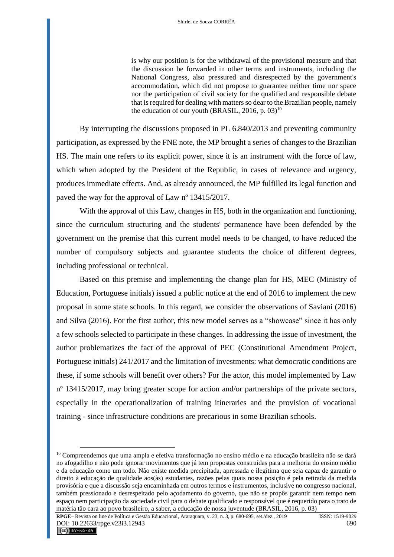is why our position is for the withdrawal of the provisional measure and that the discussion be forwarded in other terms and instruments, including the National Congress, also pressured and disrespected by the government's accommodation, which did not propose to guarantee neither time nor space nor the participation of civil society for the qualified and responsible debate that is required for dealing with matters so dear to the Brazilian people, namely the education of our youth (BRASIL,  $2016$ , p.  $03$ )<sup>10</sup>

By interrupting the discussions proposed in PL 6.840/2013 and preventing community participation, as expressed by the FNE note, the MP brought a series of changes to the Brazilian HS. The main one refers to its explicit power, since it is an instrument with the force of law, which when adopted by the President of the Republic, in cases of relevance and urgency, produces immediate effects. And, as already announced, the MP fulfilled its legal function and paved the way for the approval of Law nº 13415/2017.

With the approval of this Law, changes in HS, both in the organization and functioning, since the curriculum structuring and the students' permanence have been defended by the government on the premise that this current model needs to be changed, to have reduced the number of compulsory subjects and guarantee students the choice of different degrees, including professional or technical.

Based on this premise and implementing the change plan for HS, MEC (Ministry of Education, Portuguese initials) issued a public notice at the end of 2016 to implement the new proposal in some state schools. In this regard, we consider the observations of Saviani (2016) and Silva (2016). For the first author, this new model serves as a "showcase" since it has only a few schools selected to participate in these changes. In addressing the issue of investment, the author problematizes the fact of the approval of PEC (Constitutional Amendment Project, Portuguese initials) 241/2017 and the limitation of investments: what democratic conditions are these, if some schools will benefit over others? For the actor, this model implemented by Law nº 13415/2017, may bring greater scope for action and/or partnerships of the private sectors, especially in the operationalization of training itineraries and the provision of vocational training - since infrastructure conditions are precarious in some Brazilian schools.

**RPGE**– Revista on line de Política e Gestão Educacional, Araraquara, v. 23, n. 3, p. 680-695, set./dez., 2019 ISSN: 1519-9029 DOI:  $10.22633$ /rpge.v23i3.12943 690

<sup>&</sup>lt;sup>10</sup> Compreendemos que uma ampla e efetiva transformação no ensino médio e na educação brasileira não se dará no afogadilho e não pode ignorar movimentos que já tem propostas construídas para a melhoria do ensino médio e da educação como um todo. Não existe medida precipitada, apressada e ilegítima que seja capaz de garantir o direito à educação de qualidade aos(às) estudantes, razões pelas quais nossa posição é pela retirada da medida provisória e que a discussão seja encaminhada em outros termos e instrumentos, inclusive no congresso nacional, também pressionado e desrespeitado pelo açodamento do governo, que não se propôs garantir nem tempo nem espaço nem participação da sociedade civil para o debate qualificado e responsável que é requerido para o trato de matéria tão cara ao povo brasileiro, a saber, a educação de nossa juventude (BRASIL, 2016, p. 03)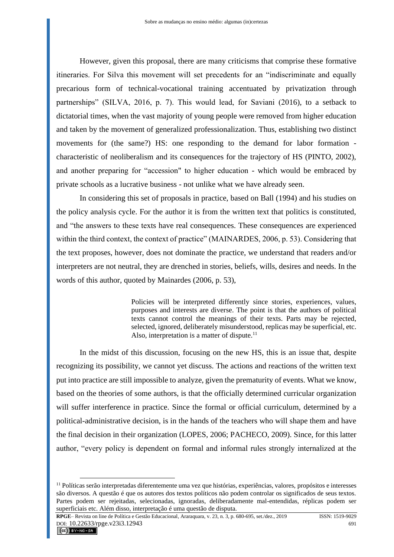However, given this proposal, there are many criticisms that comprise these formative itineraries. For Silva this movement will set precedents for an "indiscriminate and equally precarious form of technical-vocational training accentuated by privatization through partnerships" (SILVA, 2016, p. 7). This would lead, for Saviani (2016), to a setback to dictatorial times, when the vast majority of young people were removed from higher education and taken by the movement of generalized professionalization. Thus, establishing two distinct movements for (the same?) HS: one responding to the demand for labor formation characteristic of neoliberalism and its consequences for the trajectory of HS (PINTO, 2002), and another preparing for "accession" to higher education - which would be embraced by private schools as a lucrative business - not unlike what we have already seen.

In considering this set of proposals in practice, based on Ball (1994) and his studies on the policy analysis cycle. For the author it is from the written text that politics is constituted, and "the answers to these texts have real consequences. These consequences are experienced within the third context, the context of practice" (MAINARDES, 2006, p. 53). Considering that the text proposes, however, does not dominate the practice, we understand that readers and/or interpreters are not neutral, they are drenched in stories, beliefs, wills, desires and needs. In the words of this author, quoted by Mainardes (2006, p. 53),

> Policies will be interpreted differently since stories, experiences, values, purposes and interests are diverse. The point is that the authors of political texts cannot control the meanings of their texts. Parts may be rejected, selected, ignored, deliberately misunderstood, replicas may be superficial, etc. Also, interpretation is a matter of dispute. $11$

In the midst of this discussion, focusing on the new HS, this is an issue that, despite recognizing its possibility, we cannot yet discuss. The actions and reactions of the written text put into practice are still impossible to analyze, given the prematurity of events. What we know, based on the theories of some authors, is that the officially determined curricular organization will suffer interference in practice. Since the formal or official curriculum, determined by a political-administrative decision, is in the hands of the teachers who will shape them and have the final decision in their organization (LOPES, 2006; PACHECO, 2009). Since, for this latter author, "every policy is dependent on formal and informal rules strongly internalized at the

**RPGE**– Revista on line de Política e Gestão Educacional, Araraquara, v. 23, n. 3, p. 680-695, set./dez., 2019 ISSN: 1519-9029 DOI: 10.22633/rpge.v23i3.12943 691<br> **CC** EXPRESS

<sup>&</sup>lt;sup>11</sup> Políticas serão interpretadas diferentemente uma vez que histórias, experiências, valores, propósitos e interesses são diversos. A questão é que os autores dos textos políticos não podem controlar os significados de seus textos. Partes podem ser rejeitadas, selecionadas, ignoradas, deliberadamente mal-entendidas, réplicas podem ser superficiais etc. Além disso, interpretação é uma questão de disputa.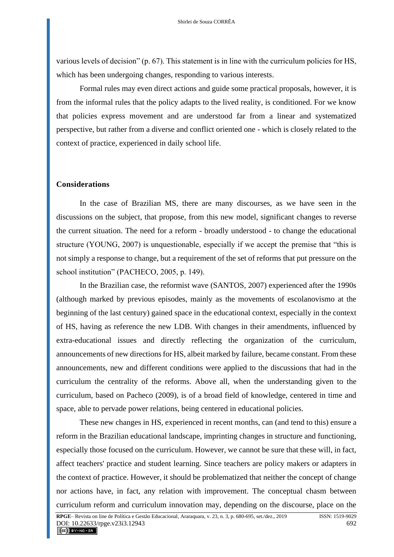various levels of decision" (p. 67). This statement is in line with the curriculum policies for HS, which has been undergoing changes, responding to various interests.

Formal rules may even direct actions and guide some practical proposals, however, it is from the informal rules that the policy adapts to the lived reality, is conditioned. For we know that policies express movement and are understood far from a linear and systematized perspective, but rather from a diverse and conflict oriented one - which is closely related to the context of practice, experienced in daily school life.

#### **Considerations**

In the case of Brazilian MS, there are many discourses, as we have seen in the discussions on the subject, that propose, from this new model, significant changes to reverse the current situation. The need for a reform - broadly understood - to change the educational structure (YOUNG, 2007) is unquestionable, especially if we accept the premise that "this is not simply a response to change, but a requirement of the set of reforms that put pressure on the school institution" (PACHECO, 2005, p. 149).

In the Brazilian case, the reformist wave (SANTOS, 2007) experienced after the 1990s (although marked by previous episodes, mainly as the movements of escolanovismo at the beginning of the last century) gained space in the educational context, especially in the context of HS, having as reference the new LDB. With changes in their amendments, influenced by extra-educational issues and directly reflecting the organization of the curriculum, announcements of new directions for HS, albeit marked by failure, became constant. From these announcements, new and different conditions were applied to the discussions that had in the curriculum the centrality of the reforms. Above all, when the understanding given to the curriculum, based on Pacheco (2009), is of a broad field of knowledge, centered in time and space, able to pervade power relations, being centered in educational policies.

These new changes in HS, experienced in recent months, can (and tend to this) ensure a reform in the Brazilian educational landscape, imprinting changes in structure and functioning, especially those focused on the curriculum. However, we cannot be sure that these will, in fact, affect teachers' practice and student learning. Since teachers are policy makers or adapters in the context of practice. However, it should be problematized that neither the concept of change nor actions have, in fact, any relation with improvement. The conceptual chasm between curriculum reform and curriculum innovation may, depending on the discourse, place on the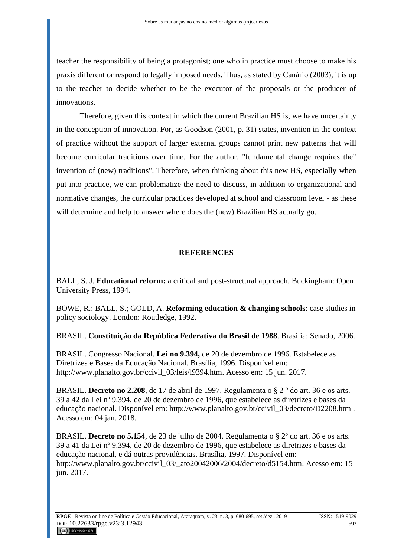teacher the responsibility of being a protagonist; one who in practice must choose to make his praxis different or respond to legally imposed needs. Thus, as stated by Canário (2003), it is up to the teacher to decide whether to be the executor of the proposals or the producer of innovations.

Therefore, given this context in which the current Brazilian HS is, we have uncertainty in the conception of innovation. For, as Goodson (2001, p. 31) states, invention in the context of practice without the support of larger external groups cannot print new patterns that will become curricular traditions over time. For the author, "fundamental change requires the" invention of (new) traditions". Therefore, when thinking about this new HS, especially when put into practice, we can problematize the need to discuss, in addition to organizational and normative changes, the curricular practices developed at school and classroom level - as these will determine and help to answer where does the (new) Brazilian HS actually go.

## **REFERENCES**

BALL, S. J. **Educational reform:** a critical and post-structural approach. Buckingham: Open University Press, 1994.

BOWE, R.; BALL, S.; GOLD, A. **Reforming education & changing schools**: case studies in policy sociology. London: Routledge, 1992.

BRASIL. **Constituição da República Federativa do Brasil de 1988**. Brasília: Senado, 2006.

BRASIL. Congresso Nacional. **Lei no 9.394,** de 20 de dezembro de 1996. Estabelece as Diretrizes e Bases da Educação Nacional. Brasília, 1996. Disponível em: [http://www.planalto.gov.br/ccivil\\_03/leis/l9394.htm.](http://www.planalto.gov.br/ccivil_03/leis/l9394.htm) Acesso em: 15 jun. 2017.

BRASIL. **Decreto no 2.208**, de 17 de abril de 1997. Regulamenta o § 2 º do art. 36 e os arts. 39 a 42 da Lei nº 9.394, de 20 de dezembro de 1996, que estabelece as diretrizes e bases da educação nacional. Disponível em: [http://www.planalto.gov.br/ccivil\\_03/decreto/D2208.htm](http://www.planalto.gov.br/ccivil_03/decreto/D2208.htm) . Acesso em: 04 jan. 2018.

BRASIL. **Decreto no 5.154**, de 23 de julho de 2004. Regulamenta o § 2º do art. 36 e os arts. 39 a 41 da Lei nº 9.394, de 20 de dezembro de 1996, que estabelece as diretrizes e bases da educação nacional, e dá outras providências. Brasília, 1997. Disponível em: http://www.planalto.gov.br/ccivil 03/ ato20042006/2004/decreto/d5154.htm. Acesso em: 15 jun. 2017.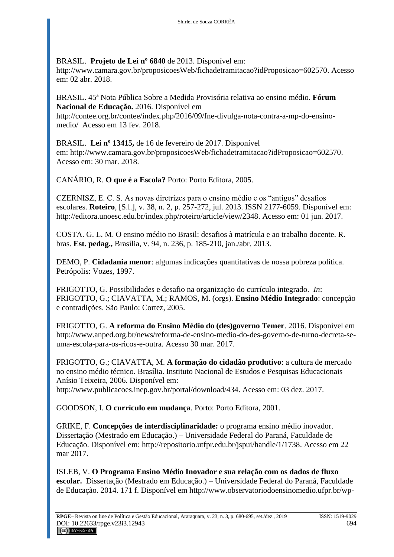# BRASIL. **Projeto de Lei nº 6840** de 2013. Disponível em:

[http://www.camara.gov.br/proposicoesWeb/fichadetramitacao?idProposicao=602570.](http://www.camara.gov.br/proposicoesWeb/fichadetramitacao?idProposicao=602570) Acesso em: 02 abr. 2018.

# BRASIL. 45ª Nota Pública Sobre a Medida Provisória relativa ao ensino médio. **Fórum Nacional de Educação.** 2016. Disponível em

[http://contee.org.br/contee/index.php/2016/09/fne-divulga-nota-contra-a-mp-do-ensino](http://contee.org.br/contee/index.php/2016/09/fne-divulga-nota-contra-a-mp-do-ensino-medio/)[medio/](http://contee.org.br/contee/index.php/2016/09/fne-divulga-nota-contra-a-mp-do-ensino-medio/) Acesso em 13 fev. 2018.

BRASIL. **Lei nº 13415,** de 16 de fevereiro de 2017. Disponível em: [http://www.camara.gov.br/proposicoesWeb/fichadetramitacao?idProposicao=602570.](http://www.camara.gov.br/proposicoesWeb/fichadetramitacao?idProposicao=602570) Acesso em: 30 mar. 2018.

CANÁRIO, R. **O que é a Escola?** Porto: Porto Editora, 2005.

CZERNISZ, E. C. S. As novas diretrizes para o ensino médio e os "antigos" desafios escolares. **Roteiro**, [S.l.], v. 38, n. 2, p. 257-272, jul. 2013. ISSN 2177-6059. Disponível em: [http://editora.unoesc.edu.br/index.php/roteiro/article/view/2348.](http://editora.unoesc.edu.br/index.php/roteiro/article/view/2348) Acesso em: 01 jun. 2017.

COSTA. G. L. M. O ensino médio no Brasil: desafios à matrícula e ao trabalho docente. R. bras. **Est. pedag.,** Brasília, v. 94, n. 236, p. 185-210, jan./abr. 2013.

DEMO, P. **Cidadania menor**: algumas indicações quantitativas de nossa pobreza política. Petrópolis: Vozes, 1997.

FRIGOTTO, G. Possibilidades e desafio na organização do currículo integrado. *In*: FRIGOTTO, G.; CIAVATTA, M.; RAMOS, M. (orgs). **Ensino Médio Integrado**: concepção e contradições. São Paulo: Cortez, 2005.

FRIGOTTO, G. **A reforma do Ensino Médio do (des)governo Temer**. 2016. Disponível em [http://www.anped.org.br/news/reforma-de-ensino-medio-do-des-governo-de-turno-decreta-se](http://www.anped.org.br/news/reforma-de-ensino-medio-do-des-governo-de-turno-decreta-se-uma-escola-para-os-ricos-e-outra)[uma-escola-para-os-ricos-e-outra.](http://www.anped.org.br/news/reforma-de-ensino-medio-do-des-governo-de-turno-decreta-se-uma-escola-para-os-ricos-e-outra) Acesso 30 mar. 2017.

FRIGOTTO, G.; CIAVATTA, M. **A formação do cidadão produtivo**: a cultura de mercado no ensino médio técnico. Brasília. Instituto Nacional de Estudos e Pesquisas Educacionais Anísio Teixeira, 2006. Disponível em: [http://www.publicacoes.inep.gov.br/portal/download/434.](http://www.publicacoes.inep.gov.br/portal/download/434) Acesso em: 03 dez. 2017.

GOODSON, I. **O currículo em mudança**. Porto: Porto Editora, 2001.

GRIKE, F. **Concepções de interdisciplinaridade:** o programa ensino médio inovador. Dissertação (Mestrado em Educação.) – Universidade Federal do Paraná, Faculdade de Educação. Disponível em: [http://repositorio.utfpr.edu.br/jspui/handle/1/1738.](http://repositorio.utfpr.edu.br/jspui/handle/1/1738) Acesso em 22 mar 2017.

ISLEB, V. **O Programa Ensino Médio Inovador e sua relação com os dados de fluxo escolar.** Dissertação (Mestrado em Educação.) – Universidade Federal do Paraná, Faculdade de Educação. 2014. 171 f. Disponível em [http://www.observatoriodoensinomedio.ufpr.br/wp-](http://www.observatoriodoensinomedio.ufpr.br/wp-content/uploads/2014/04/Vivian-Isleb-disserta%C3%A7%C3%A3o-final-2014.pdf)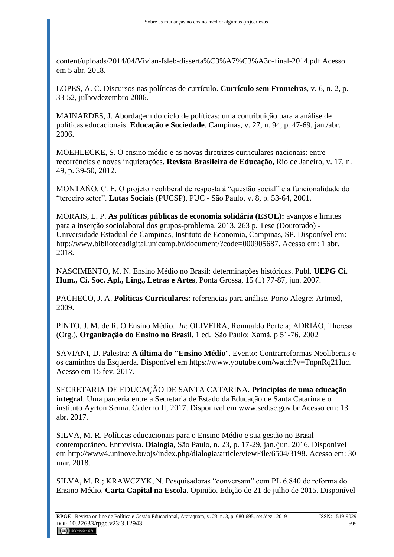[content/uploads/2014/04/Vivian-Isleb-disserta%C3%A7%C3%A3o-final-2014.pdf](http://www.observatoriodoensinomedio.ufpr.br/wp-content/uploads/2014/04/Vivian-Isleb-disserta%C3%A7%C3%A3o-final-2014.pdf) Acesso em 5 abr. 2018.

LOPES, A. C. Discursos nas políticas de currículo. **Currículo sem Fronteiras**, v. 6, n. 2, p. 33-52, julho/dezembro 2006.

MAINARDES, J. Abordagem do ciclo de políticas: uma contribuição para a análise de políticas educacionais. **Educação e Sociedade**. Campinas, v. 27, n. 94, p. 47-69, jan./abr. 2006.

MOEHLECKE, S. O ensino médio e as novas diretrizes curriculares nacionais: entre recorrências e novas inquietações. **Revista Brasileira de Educação**, Rio de Janeiro, v. 17, n. 49, p. 39-50, 2012.

MONTAÑO. C. E. O projeto neoliberal de resposta à "questão social" e a funcionalidade do "terceiro setor". **Lutas Sociais** (PUCSP), PUC - São Paulo, v. 8, p. 53-64, 2001.

MORAIS, L. P. **As políticas públicas de economia solidária (ESOL):** avanços e limites para a inserção sociolaboral dos grupos-problema. 2013. 263 p. Tese (Doutorado) - Universidade Estadual de Campinas, Instituto de Economia, Campinas, SP. Disponível em: [http://www.bibliotecadigital.unicamp.br/document/?code=000905687.](http://www.bibliotecadigital.unicamp.br/document/?code=000905687) Acesso em: 1 abr. 2018.

NASCIMENTO, M. N. Ensino Médio no Brasil: determinações históricas. Publ. **UEPG Ci. Hum., Ci. Soc. Apl., Ling., Letras e Artes**, Ponta Grossa, 15 (1) 77-87, jun. 2007.

PACHECO, J. A. **Políticas Curriculares**: referencias para análise. Porto Alegre: Artmed, 2009.

PINTO, J. M. de R. O Ensino Médio. *In*: OLIVEIRA, Romualdo Portela; ADRIÃO, Theresa. (Org.). **Organização do Ensino no Brasil**. 1 ed. São Paulo: Xamã, p 51-76. 2002

SAVIANI, D. Palestra: **A última do "Ensino Médio**". Evento: Contrarreformas Neoliberais e os caminhos da Esquerda. Disponível em [https://www.youtube.com/watch?v=TnpnRq21Iuc.](https://www.youtube.com/watch?v=TnpnRq21Iuc) Acesso em 15 fev. 2017.

SECRETARIA DE EDUCAÇÃO DE SANTA CATARINA. **Princípios de uma educação integral**. Uma parceria entre a Secretaria de Estado da Educação de Santa Catarina e o instituto Ayrton Senna. Caderno II, 2017. Disponível em [www.sed.sc.gov.br](http://www.sed.sc.gov.br/) Acesso em: 13 abr. 2017.

SILVA, M. R. Políticas educacionais para o Ensino Médio e sua gestão no Brasil contemporâneo. Entrevista. **Dialogia,** São Paulo, n. 23, p. 17-29, jan./jun. 2016. Disponível em [http://www4.uninove.br/ojs/index.php/dialogia/article/viewFile/6504/3198.](http://www4.uninove.br/ojs/index.php/dialogia/article/viewFile/6504/3198) Acesso em: 30 mar. 2018.

SILVA, M. R.; KRAWCZYK, N. Pesquisadoras "conversam" com PL 6.840 de reforma do Ensino Médio. **Carta Capital na Escola**. Opinião. Edição de 21 de julho de 2015. Disponível